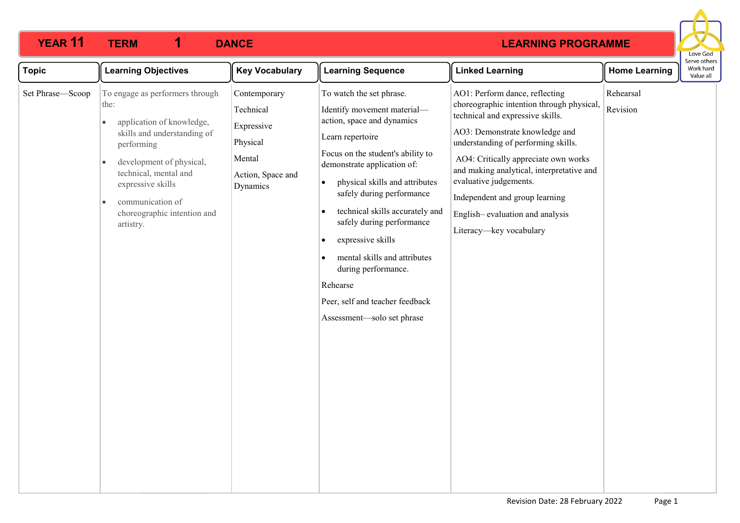

| <b>Topic</b>     | <b>Learning Objectives</b>                                                                                                                                                                                                                                                                         | <b>Key Vocabulary</b>                                                                          | <b>Learning Sequence</b>                                                                                                                                                                                                                                                                                                                                                                                                                                                                                     | <b>Linked Learning</b>                                                                                                                                                                                                                                                                                                                                                                                  | <b>Home Learning</b>  | וסוויכ טנווכו<br>Work hard<br>Value all |
|------------------|----------------------------------------------------------------------------------------------------------------------------------------------------------------------------------------------------------------------------------------------------------------------------------------------------|------------------------------------------------------------------------------------------------|--------------------------------------------------------------------------------------------------------------------------------------------------------------------------------------------------------------------------------------------------------------------------------------------------------------------------------------------------------------------------------------------------------------------------------------------------------------------------------------------------------------|---------------------------------------------------------------------------------------------------------------------------------------------------------------------------------------------------------------------------------------------------------------------------------------------------------------------------------------------------------------------------------------------------------|-----------------------|-----------------------------------------|
| Set Phrase-Scoop | To engage as performers through<br>the:<br>application of knowledge,<br>$\bullet$<br>skills and understanding of<br>performing<br>development of physical,<br>$\bullet$<br>technical, mental and<br>expressive skills<br>communication of<br>$\bullet$<br>choreographic intention and<br>artistry. | Contemporary<br>Technical<br>Expressive<br>Physical<br>Mental<br>Action, Space and<br>Dynamics | To watch the set phrase.<br>Identify movement material-<br>action, space and dynamics<br>Learn repertoire<br>Focus on the student's ability to<br>demonstrate application of:<br>physical skills and attributes<br>$\bullet$<br>safely during performance<br>technical skills accurately and<br>$\bullet$<br>safely during performance<br>expressive skills<br>$\bullet$<br>mental skills and attributes<br>during performance.<br>Rehearse<br>Peer, self and teacher feedback<br>Assessment-solo set phrase | AO1: Perform dance, reflecting<br>choreographic intention through physical,<br>technical and expressive skills.<br>AO3: Demonstrate knowledge and<br>understanding of performing skills.<br>AO4: Critically appreciate own works<br>and making analytical, interpretative and<br>evaluative judgements.<br>Independent and group learning<br>English-evaluation and analysis<br>Literacy-key vocabulary | Rehearsal<br>Revision |                                         |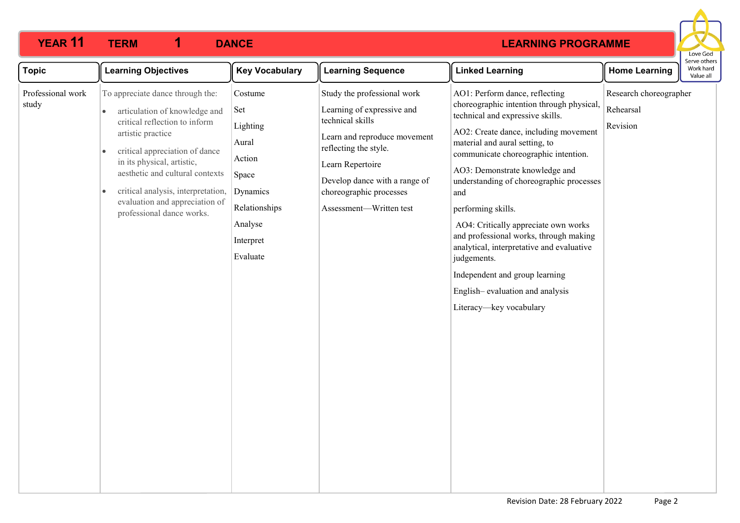

| <b>Topic</b>               | <b>Learning Objectives</b>                                                                                                                                                                                                                                                                                                                                             | <b>Key Vocabulary</b>                                                                                                   | <b>Learning Sequence</b>                                                                                                                                                                                                                          | <b>Linked Learning</b>                                                                                                                                                                                                                                                                                                                                                                                                                                                                                                                                                                      | <b>Home Learning</b>                            | perve othe<br>Work hard<br>Value all |
|----------------------------|------------------------------------------------------------------------------------------------------------------------------------------------------------------------------------------------------------------------------------------------------------------------------------------------------------------------------------------------------------------------|-------------------------------------------------------------------------------------------------------------------------|---------------------------------------------------------------------------------------------------------------------------------------------------------------------------------------------------------------------------------------------------|---------------------------------------------------------------------------------------------------------------------------------------------------------------------------------------------------------------------------------------------------------------------------------------------------------------------------------------------------------------------------------------------------------------------------------------------------------------------------------------------------------------------------------------------------------------------------------------------|-------------------------------------------------|--------------------------------------|
| Professional work<br>study | To appreciate dance through the:<br>articulation of knowledge and<br>$\bullet$<br>critical reflection to inform<br>artistic practice<br>critical appreciation of dance<br>$\bullet$<br>in its physical, artistic,<br>aesthetic and cultural contexts<br>critical analysis, interpretation,<br>$\bullet$<br>evaluation and appreciation of<br>professional dance works. | Costume<br>Set<br>Lighting<br>Aural<br>Action<br>Space<br>Dynamics<br>Relationships<br>Analyse<br>Interpret<br>Evaluate | Study the professional work<br>Learning of expressive and<br>technical skills<br>Learn and reproduce movement<br>reflecting the style.<br>Learn Repertoire<br>Develop dance with a range of<br>choreographic processes<br>Assessment-Written test | AO1: Perform dance, reflecting<br>choreographic intention through physical,<br>technical and expressive skills.<br>AO2: Create dance, including movement<br>material and aural setting, to<br>communicate choreographic intention.<br>AO3: Demonstrate knowledge and<br>understanding of choreographic processes<br>and<br>performing skills.<br>AO4: Critically appreciate own works<br>and professional works, through making<br>analytical, interpretative and evaluative<br>judgements.<br>Independent and group learning<br>English-evaluation and analysis<br>Literacy-key vocabulary | Research choreographer<br>Rehearsal<br>Revision |                                      |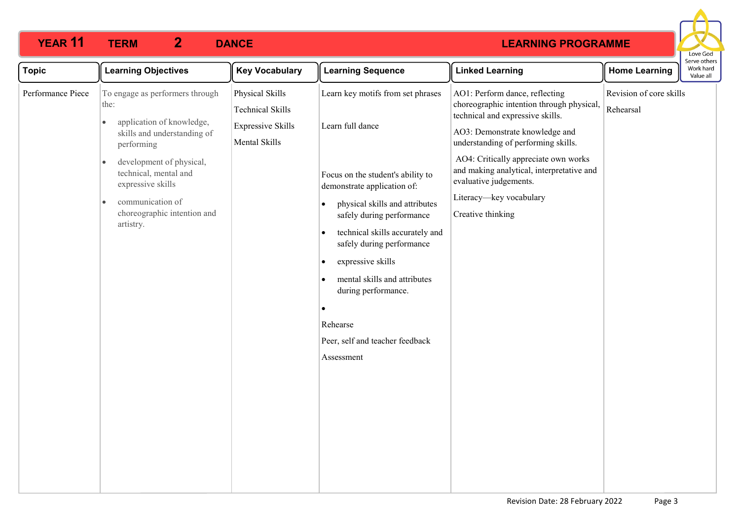

| <b>Topic</b>      | <b>Learning Objectives</b>                                                                                                                                       | <b>Key Vocabulary</b>                                                                   | <b>Learning Sequence</b>                                                                                                                                                                                                                                                                                                                                           | <b>Linked Learning</b>                                                                                                                                                                   | <b>Home Learning</b>                 | או אב חיווב<br>Work hard<br>Value all |
|-------------------|------------------------------------------------------------------------------------------------------------------------------------------------------------------|-----------------------------------------------------------------------------------------|--------------------------------------------------------------------------------------------------------------------------------------------------------------------------------------------------------------------------------------------------------------------------------------------------------------------------------------------------------------------|------------------------------------------------------------------------------------------------------------------------------------------------------------------------------------------|--------------------------------------|---------------------------------------|
| Performance Piece | To engage as performers through<br>the:<br>application of knowledge,<br>$\bullet$<br>skills and understanding of<br>performing                                   | Physical Skills<br><b>Technical Skills</b><br><b>Expressive Skills</b><br>Mental Skills | Learn key motifs from set phrases<br>Learn full dance                                                                                                                                                                                                                                                                                                              | AO1: Perform dance, reflecting<br>choreographic intention through physical,<br>technical and expressive skills.<br>AO3: Demonstrate knowledge and<br>understanding of performing skills. | Revision of core skills<br>Rehearsal |                                       |
|                   | development of physical,<br>$\bullet$<br>technical, mental and<br>expressive skills<br>communication of<br>$\bullet$<br>choreographic intention and<br>artistry. |                                                                                         | Focus on the student's ability to<br>demonstrate application of:<br>physical skills and attributes<br>$\bullet$<br>safely during performance<br>technical skills accurately and<br>safely during performance<br>expressive skills<br>$\bullet$<br>mental skills and attributes<br>during performance.<br>Rehearse<br>Peer, self and teacher feedback<br>Assessment | AO4: Critically appreciate own works<br>and making analytical, interpretative and<br>evaluative judgements.<br>Literacy-key vocabulary<br>Creative thinking                              |                                      |                                       |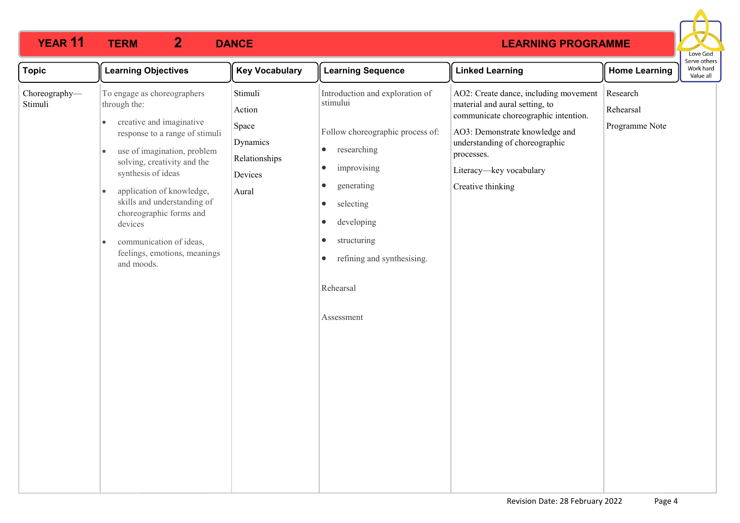

| <b>Topic</b>             | <b>Learning Objectives</b>                                                                                                                                                                                                                                                                                                                                                                         | <b>Key Vocabulary</b>                                                       | <b>Learning Sequence</b>                                                                                                                                                                                                                                                                                                  | <b>Linked Learning</b>                                                                                                                                                                                                                            | <b>Home Learning</b>                    | Serve others<br>Work hard<br>Value all |
|--------------------------|----------------------------------------------------------------------------------------------------------------------------------------------------------------------------------------------------------------------------------------------------------------------------------------------------------------------------------------------------------------------------------------------------|-----------------------------------------------------------------------------|---------------------------------------------------------------------------------------------------------------------------------------------------------------------------------------------------------------------------------------------------------------------------------------------------------------------------|---------------------------------------------------------------------------------------------------------------------------------------------------------------------------------------------------------------------------------------------------|-----------------------------------------|----------------------------------------|
| Choreography-<br>Stimuli | To engage as choreographers<br>through the:<br>creative and imaginative<br>$\bullet$<br>response to a range of stimuli<br>use of imagination, problem<br>solving, creativity and the<br>synthesis of ideas<br>application of knowledge,<br>$\bullet$<br>skills and understanding of<br>choreographic forms and<br>devices<br>communication of ideas,<br>feelings, emotions, meanings<br>and moods. | Stimuli<br>Action<br>Space<br>Dynamics<br>Relationships<br>Devices<br>Aural | Introduction and exploration of<br>stimului<br>Follow choreographic process of:<br>researching<br>$\bullet$<br>improvising<br>$\bullet$<br>generating<br>$\bullet$<br>selecting<br>$\bullet$<br>developing<br>$\bullet$<br>structuring<br>$\bullet$<br>refining and synthesising.<br>$\bullet$<br>Rehearsal<br>Assessment | AO2: Create dance, including movement<br>material and aural setting, to<br>communicate choreographic intention.<br>AO3: Demonstrate knowledge and<br>understanding of choreographic<br>processes.<br>Literacy-key vocabulary<br>Creative thinking | Research<br>Rehearsal<br>Programme Note |                                        |